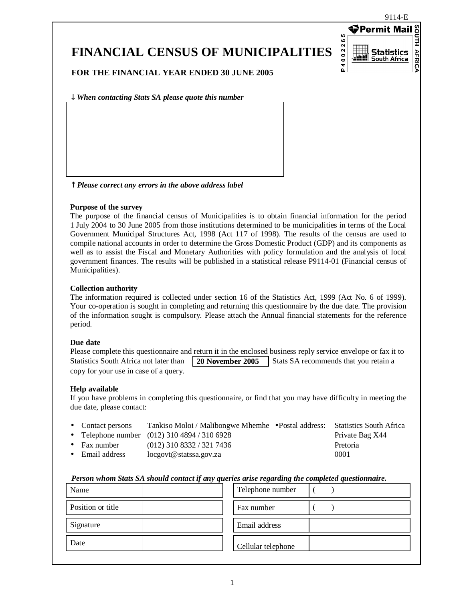## **FINANCIAL CENSUS OF MUNICIPALITIES**

**⊕Permit Mai** P4002265 Ξ **AFRICA** Statistics South Africa

**FOR THE FINANCIAL YEAR ENDED 30 JUNE 2005**

↓ *When contacting Stats SA please quote this number*

↑ *Please correct any errors in the above address label*

#### **Purpose of the survey**

The purpose of the financial census of Municipalities is to obtain financial information for the period 1 July 2004 to 30 June 2005 from those institutions determined to be municipalities in terms of the Local Government Municipal Structures Act, 1998 (Act 117 of 1998). The results of the census are used to compile national accounts in order to determine the Gross Domestic Product (GDP) and its components as well as to assist the Fiscal and Monetary Authorities with policy formulation and the analysis of local government finances. The results will be published in a statistical release P9114-01 (Financial census of Municipalities).

#### **Collection authority**

The information required is collected under section 16 of the Statistics Act, 1999 (Act No. 6 of 1999). Your co-operation is sought in completing and returning this questionnaire by the due date. The provision of the information sought is compulsory. Please attach the Annual financial statements for the reference period.

#### **Due date**

|                                        |                  | Please complete this questionnaire and return it in the enclosed business reply service envelope or fax it to |
|----------------------------------------|------------------|---------------------------------------------------------------------------------------------------------------|
| Statistics South Africa not later than | 20 November 2005 | Stats SA recommends that you retain a                                                                         |
| copy for your use in case of a query.  |                  |                                                                                                               |

#### **Help available**

If you have problems in completing this questionnaire, or find that you may have difficulty in meeting the due date, please contact:

| • Contact persons    | Tankiso Moloi / Malibongwe Mhemhe • Postal address: | <b>Statistics South Africa</b> |
|----------------------|-----------------------------------------------------|--------------------------------|
|                      | • Telephone number $(012)$ 310 4894 / 310 6928      | Private Bag X44                |
| $\bullet$ Fax number | $(012)$ 310 8332 / 321 7436                         | Pretoria                       |
| • Email address      | $locgov(\mathcal{Q})$ statssa.gov.za                | 0001                           |

#### *Person whom Stats SA should contact if any queries arise regarding the completed questionnaire.*

| Name              | Telephone number   |
|-------------------|--------------------|
| Position or title | Fax number         |
| Signature         | Email address      |
| Date              | Cellular telephone |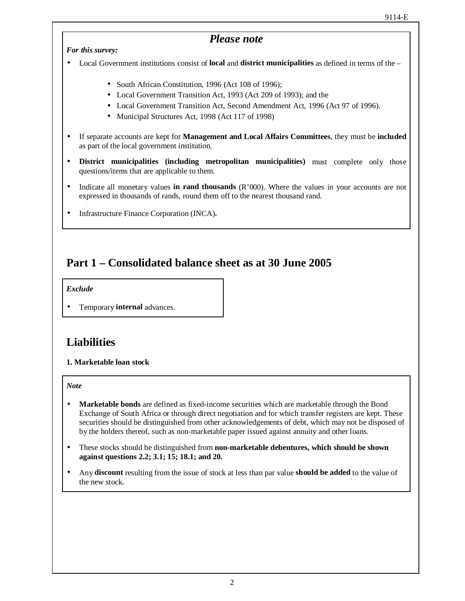#### *Please note*

*For this survey:*

• Local Government institutions consist of **local** and **district municipalities** as defined in terms of the –

- South African Constitution, 1996 (Act 108 of 1996);
- Local Government Transition Act, 1993 (Act 209 of 1993); and the
- Local Government Transition Act, Second Amendment Act, 1996 (Act 97 of 1996).
- Municipal Structures Act, 1998 (Act 117 of 1998)
- If separate accounts are kept for **Management and Local Affairs Committees**, they must be **included** as part of the local government institution.
- **District municipalities (including metropolitan municipalities)** must complete only those questions/items that are applicable to them.
- Indicate all monetary values **in rand thousands** (R'000). Where the values in your accounts are not expressed in thousands of rands, round them off to the nearest thousand rand.
- Infrastructure Finance Corporation (INCA)**.**

### **Part 1 – Consolidated balance sheet as at 30 June 2005**

#### *Exclude*

• Temporary **internal** advances.

#### **Liabilities**

#### **1. Marketable loan stock**

*Note*

- **Marketable bonds** are defined as fixed-income securities which are marketable through the Bond Exchange of South Africa or through direct negotiation and for which transfer registers are kept. These securities should be distinguished from other acknowledgements of debt, which may not be disposed of by the holders thereof, such as non-marketable paper issued against annuity and other loans.
- These stocks should be distinguished from **non-marketable debentures, which should be shown against questions 2.2; 3.1; 15; 18.1; and 20.**
- Any **discount** resulting from the issue of stock at less than par value **should be added** to the value of the new stock.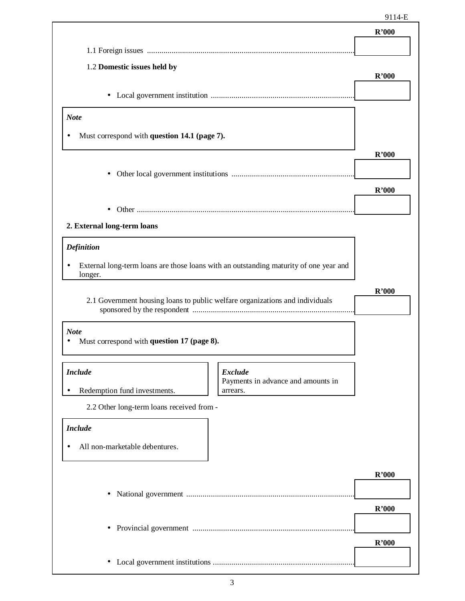| 1.2 Domestic issues held by<br><b>Note</b><br>Must correspond with question 14.1 (page 7).<br>$\bullet$<br>2. External long-term loans<br><b>Definition</b><br>External long-term loans are those loans with an outstanding maturity of one year and<br>longer.<br>2.1 Government housing loans to public welfare organizations and individuals | R'000<br>R'000<br>R'000 |
|-------------------------------------------------------------------------------------------------------------------------------------------------------------------------------------------------------------------------------------------------------------------------------------------------------------------------------------------------|-------------------------|
|                                                                                                                                                                                                                                                                                                                                                 |                         |
|                                                                                                                                                                                                                                                                                                                                                 |                         |
|                                                                                                                                                                                                                                                                                                                                                 |                         |
|                                                                                                                                                                                                                                                                                                                                                 |                         |
|                                                                                                                                                                                                                                                                                                                                                 |                         |
|                                                                                                                                                                                                                                                                                                                                                 |                         |
|                                                                                                                                                                                                                                                                                                                                                 |                         |
|                                                                                                                                                                                                                                                                                                                                                 |                         |
|                                                                                                                                                                                                                                                                                                                                                 |                         |
|                                                                                                                                                                                                                                                                                                                                                 |                         |
|                                                                                                                                                                                                                                                                                                                                                 |                         |
|                                                                                                                                                                                                                                                                                                                                                 |                         |
|                                                                                                                                                                                                                                                                                                                                                 |                         |
|                                                                                                                                                                                                                                                                                                                                                 |                         |
|                                                                                                                                                                                                                                                                                                                                                 | R'000                   |
|                                                                                                                                                                                                                                                                                                                                                 |                         |
|                                                                                                                                                                                                                                                                                                                                                 |                         |
| <b>Note</b><br>Must correspond with question 17 (page 8).                                                                                                                                                                                                                                                                                       |                         |
| <b>Include</b><br><b>Exclude</b>                                                                                                                                                                                                                                                                                                                |                         |
| Payments in advance and amounts in<br>Redemption fund investments.<br>arrears.                                                                                                                                                                                                                                                                  |                         |
| 2.2 Other long-term loans received from -                                                                                                                                                                                                                                                                                                       |                         |
| <b>Include</b>                                                                                                                                                                                                                                                                                                                                  |                         |
|                                                                                                                                                                                                                                                                                                                                                 |                         |
| All non-marketable debentures.                                                                                                                                                                                                                                                                                                                  |                         |
|                                                                                                                                                                                                                                                                                                                                                 | R'000                   |
|                                                                                                                                                                                                                                                                                                                                                 |                         |
| $\bullet$                                                                                                                                                                                                                                                                                                                                       |                         |
|                                                                                                                                                                                                                                                                                                                                                 |                         |
|                                                                                                                                                                                                                                                                                                                                                 | R'000                   |
| $\bullet$                                                                                                                                                                                                                                                                                                                                       | R'000                   |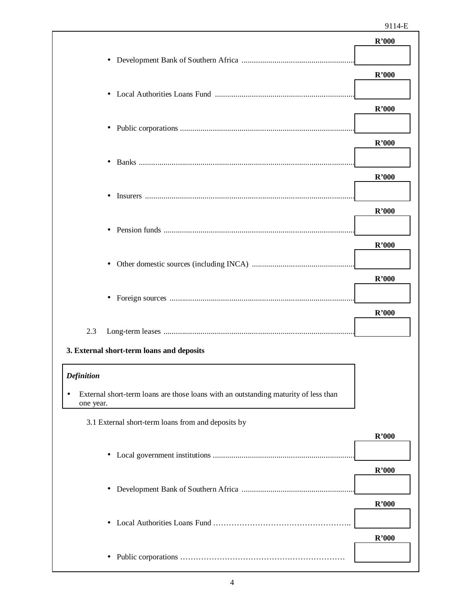|                                                                                                       | R'000 |
|-------------------------------------------------------------------------------------------------------|-------|
| ٠                                                                                                     |       |
|                                                                                                       | R'000 |
| $\bullet$                                                                                             |       |
|                                                                                                       | R'000 |
| $\bullet$                                                                                             | R'000 |
|                                                                                                       |       |
| $\bullet$                                                                                             | R'000 |
|                                                                                                       |       |
|                                                                                                       | R'000 |
| $\bullet$                                                                                             |       |
|                                                                                                       | R'000 |
| $\bullet$                                                                                             |       |
|                                                                                                       | R'000 |
| $\bullet$                                                                                             |       |
|                                                                                                       | R'000 |
| 2.3                                                                                                   |       |
| 3. External short-term loans and deposits                                                             |       |
| <b>Definition</b>                                                                                     |       |
| External short-term loans are those loans with an outstanding maturity of less than<br>٠<br>one year. |       |
| 3.1 External short-term loans from and deposits by                                                    |       |
|                                                                                                       | R'000 |
| $\bullet$                                                                                             |       |
|                                                                                                       | R'000 |
| ٠                                                                                                     |       |
|                                                                                                       | R'000 |
| $\bullet$                                                                                             | R'000 |
| ٠                                                                                                     |       |
|                                                                                                       |       |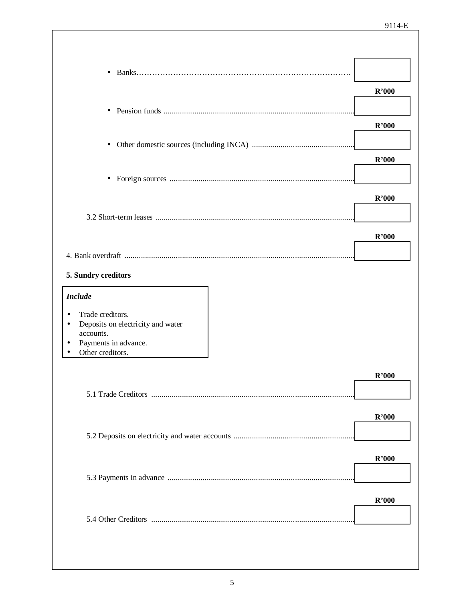| $\bullet$                                                       |       |
|-----------------------------------------------------------------|-------|
|                                                                 | R'000 |
|                                                                 |       |
|                                                                 | R'000 |
|                                                                 |       |
|                                                                 | R'000 |
|                                                                 |       |
|                                                                 |       |
|                                                                 | R'000 |
|                                                                 |       |
|                                                                 | R'000 |
|                                                                 |       |
| 5. Sundry creditors                                             |       |
|                                                                 |       |
| <b>Include</b>                                                  |       |
| Trade creditors.<br>٠<br>Deposits on electricity and water<br>٠ |       |
| accounts.                                                       |       |
| Payments in advance.<br>Other creditors.                        |       |
|                                                                 |       |
|                                                                 | R'000 |
|                                                                 |       |
|                                                                 | R'000 |
|                                                                 |       |
|                                                                 |       |
|                                                                 | R'000 |
|                                                                 |       |
|                                                                 | R'000 |
|                                                                 |       |
|                                                                 |       |
|                                                                 |       |
|                                                                 |       |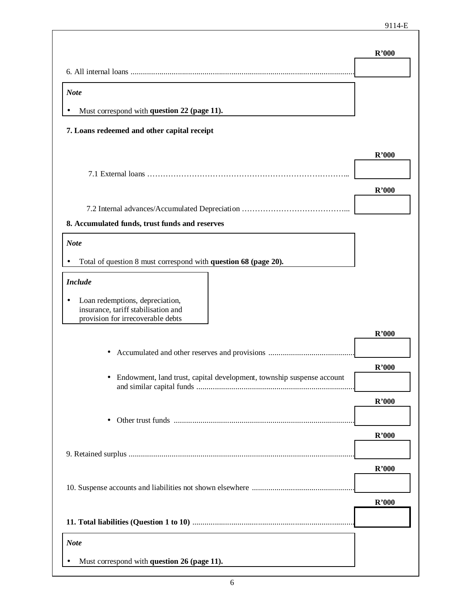٦

|                                                                                                                  | R'000 |
|------------------------------------------------------------------------------------------------------------------|-------|
| <b>Note</b>                                                                                                      |       |
| Must correspond with question 22 (page 11).                                                                      |       |
| 7. Loans redeemed and other capital receipt                                                                      |       |
|                                                                                                                  | R'000 |
|                                                                                                                  |       |
|                                                                                                                  | R'000 |
|                                                                                                                  |       |
| 8. Accumulated funds, trust funds and reserves                                                                   |       |
| <b>Note</b>                                                                                                      |       |
| Total of question 8 must correspond with question 68 (page 20).                                                  |       |
| <b>Include</b>                                                                                                   |       |
| Loan redemptions, depreciation,<br>٠<br>insurance, tariff stabilisation and<br>provision for irrecoverable debts |       |
|                                                                                                                  | R'000 |
|                                                                                                                  |       |
|                                                                                                                  | R'000 |
| Endowment, land trust, capital development, township suspense account                                            |       |
|                                                                                                                  | R'000 |
|                                                                                                                  |       |
|                                                                                                                  | R'000 |
|                                                                                                                  | R'000 |
|                                                                                                                  |       |
|                                                                                                                  | R'000 |
|                                                                                                                  |       |
| <b>Note</b>                                                                                                      |       |
| Must correspond with question 26 (page 11).                                                                      |       |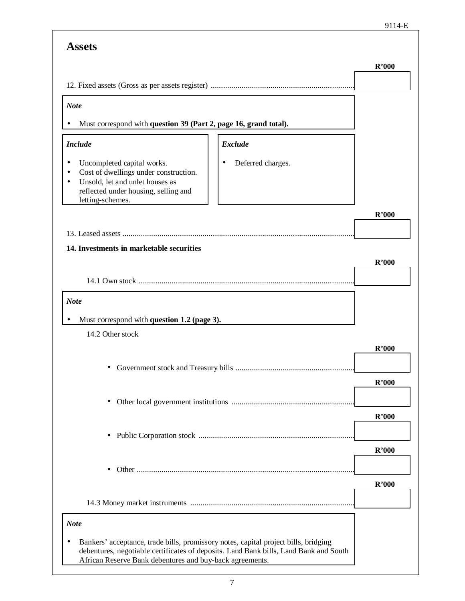|                                                                                                                                                                                                                                          | R'000 |
|------------------------------------------------------------------------------------------------------------------------------------------------------------------------------------------------------------------------------------------|-------|
|                                                                                                                                                                                                                                          |       |
| <b>Note</b>                                                                                                                                                                                                                              |       |
| Must correspond with question 39 (Part 2, page 16, grand total).                                                                                                                                                                         |       |
| <b>Include</b><br><b>Exclude</b>                                                                                                                                                                                                         |       |
| Uncompleted capital works.<br>Deferred charges.<br>٠<br>Cost of dwellings under construction.<br>Unsold, let and unlet houses as<br>reflected under housing, selling and<br>letting-schemes.                                             |       |
|                                                                                                                                                                                                                                          | R'000 |
|                                                                                                                                                                                                                                          |       |
| 14. Investments in marketable securities                                                                                                                                                                                                 |       |
|                                                                                                                                                                                                                                          | R'000 |
|                                                                                                                                                                                                                                          |       |
| <b>Note</b>                                                                                                                                                                                                                              |       |
| Must correspond with question 1.2 (page 3).                                                                                                                                                                                              |       |
| 14.2 Other stock                                                                                                                                                                                                                         | R'000 |
|                                                                                                                                                                                                                                          |       |
|                                                                                                                                                                                                                                          | R'000 |
| ٠                                                                                                                                                                                                                                        |       |
|                                                                                                                                                                                                                                          | R'000 |
|                                                                                                                                                                                                                                          |       |
|                                                                                                                                                                                                                                          | R'000 |
|                                                                                                                                                                                                                                          |       |
|                                                                                                                                                                                                                                          | R'000 |
|                                                                                                                                                                                                                                          |       |
| <b>Note</b>                                                                                                                                                                                                                              |       |
| Bankers' acceptance, trade bills, promissory notes, capital project bills, bridging<br>debentures, negotiable certificates of deposits. Land Bank bills, Land Bank and South<br>African Reserve Bank debentures and buy-back agreements. |       |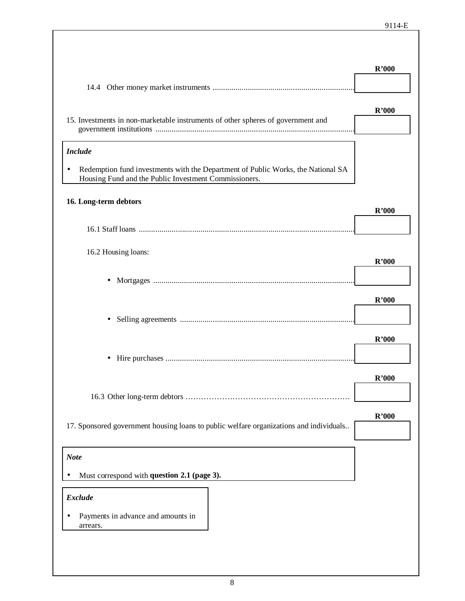|                                                                                                                                           | R'000 |
|-------------------------------------------------------------------------------------------------------------------------------------------|-------|
|                                                                                                                                           |       |
|                                                                                                                                           | R'000 |
| 15. Investments in non-marketable instruments of other spheres of government and                                                          |       |
| <b>Include</b>                                                                                                                            |       |
| Redemption fund investments with the Department of Public Works, the National SA<br>Housing Fund and the Public Investment Commissioners. |       |
| 16. Long-term debtors                                                                                                                     | R'000 |
|                                                                                                                                           |       |
|                                                                                                                                           |       |
| 16.2 Housing loans:                                                                                                                       | R'000 |
|                                                                                                                                           |       |
|                                                                                                                                           | R'000 |
|                                                                                                                                           |       |
|                                                                                                                                           | R'000 |
| ٠                                                                                                                                         |       |
|                                                                                                                                           | R'000 |
|                                                                                                                                           |       |
| 17. Sponsored government housing loans to public welfare organizations and individuals                                                    | R'000 |
|                                                                                                                                           |       |
| <b>Note</b>                                                                                                                               |       |
| Must correspond with question 2.1 (page 3).                                                                                               |       |
| <b>Exclude</b>                                                                                                                            |       |
| Payments in advance and amounts in<br>arrears.                                                                                            |       |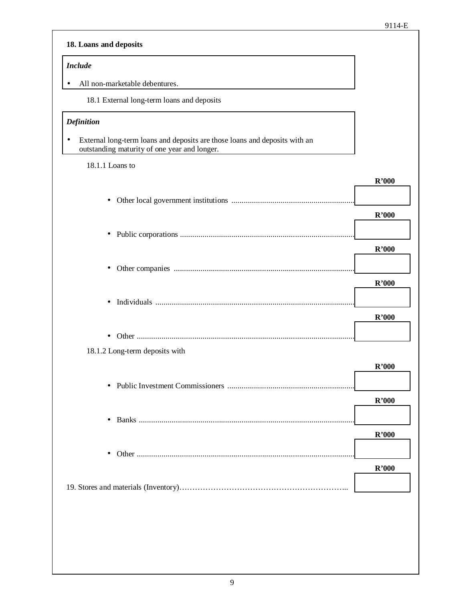| <b>Include</b>                                                                                                                  |       |
|---------------------------------------------------------------------------------------------------------------------------------|-------|
| All non-marketable debentures.                                                                                                  |       |
| 18.1 External long-term loans and deposits                                                                                      |       |
| <b>Definition</b>                                                                                                               |       |
| External long-term loans and deposits are those loans and deposits with an<br>٠<br>outstanding maturity of one year and longer. |       |
| 18.1.1 Loans to                                                                                                                 |       |
|                                                                                                                                 | R'000 |
| ٠                                                                                                                               |       |
|                                                                                                                                 | R'000 |
| $\bullet$                                                                                                                       |       |
|                                                                                                                                 | R'000 |
| ٠                                                                                                                               |       |
|                                                                                                                                 | R'000 |
| $\bullet$                                                                                                                       |       |
|                                                                                                                                 | R'000 |
|                                                                                                                                 |       |
| 18.1.2 Long-term deposits with                                                                                                  |       |
|                                                                                                                                 | R'000 |
| $\bullet$                                                                                                                       |       |
|                                                                                                                                 | R'000 |
|                                                                                                                                 |       |
| $\bullet$                                                                                                                       | R'000 |
|                                                                                                                                 |       |
|                                                                                                                                 |       |
|                                                                                                                                 | R'000 |
|                                                                                                                                 |       |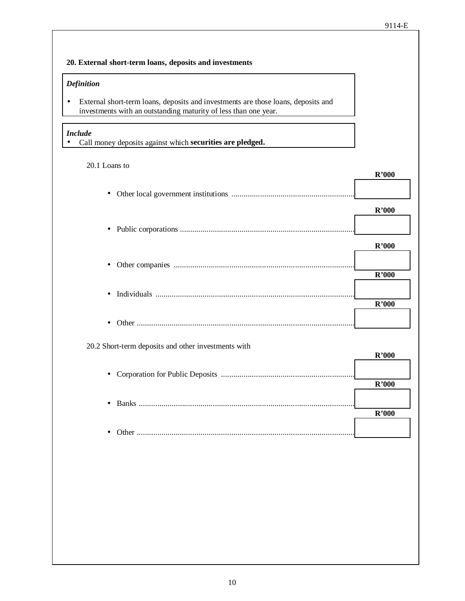| <b>Definition</b>                                                                                                                                    |                   |
|------------------------------------------------------------------------------------------------------------------------------------------------------|-------------------|
| External short-term loans, deposits and investments are those loans, deposits and<br>investments with an outstanding maturity of less than one year. |                   |
| <b>Include</b><br>Call money deposits against which securities are pledged.                                                                          |                   |
| 20.1 Loans to                                                                                                                                        | R'000             |
| $\bullet$                                                                                                                                            |                   |
| ٠                                                                                                                                                    | R'000             |
|                                                                                                                                                      | R'000             |
| ٠                                                                                                                                                    | R'000             |
| $\bullet$                                                                                                                                            | R'000             |
| $\bullet$                                                                                                                                            |                   |
| 20.2 Short-term deposits and other investments with                                                                                                  | R'000             |
| $\bullet$                                                                                                                                            | $\mathbf{R}$ '000 |
| $\bullet$                                                                                                                                            | R'000             |
| $\bullet$                                                                                                                                            |                   |
|                                                                                                                                                      |                   |
|                                                                                                                                                      |                   |
|                                                                                                                                                      |                   |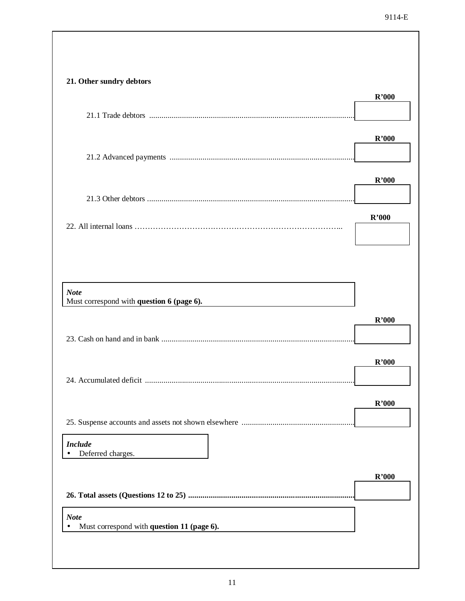| 21. Other sundry debtors                                 | R'000 |
|----------------------------------------------------------|-------|
|                                                          |       |
|                                                          | R'000 |
|                                                          |       |
|                                                          | R'000 |
|                                                          |       |
|                                                          | R'000 |
|                                                          |       |
|                                                          |       |
| <b>Note</b><br>Must correspond with question 6 (page 6). |       |
|                                                          | R'000 |
|                                                          |       |
|                                                          | R'000 |
| 24. Accumulated deficit.                                 |       |
|                                                          | R'000 |
|                                                          |       |
| <b>Include</b><br>Deferred charges.                      |       |
|                                                          | R'000 |
|                                                          |       |
| <b>Note</b>                                              |       |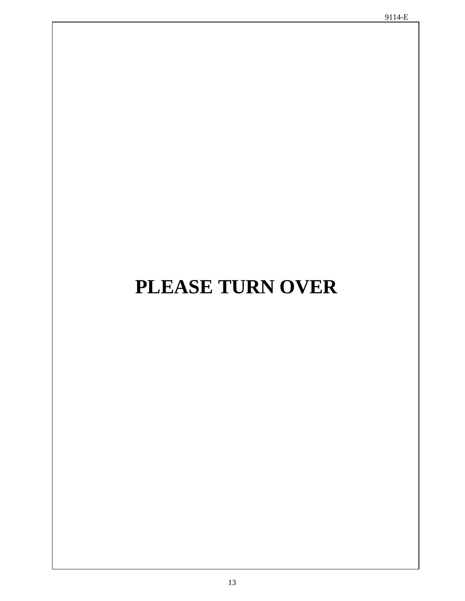# **PLEASE TURN OVER**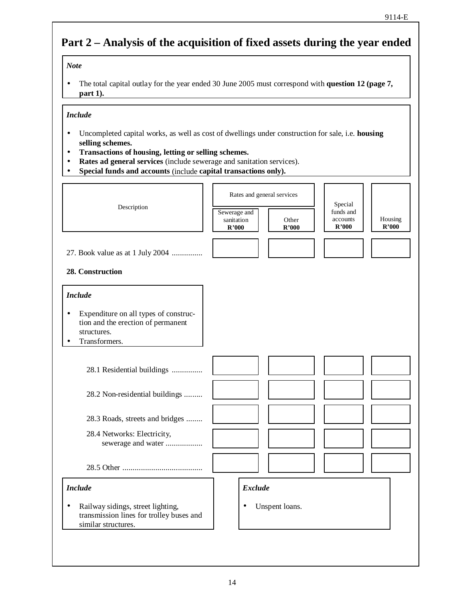## **Part 2 – Analysis of the acquisition of fixed assets during the year ended**

#### *Note*

• The total capital outlay for the year ended 30 June 2005 must correspond with **question 12 (page 7, part 1).**

#### *Include*

- Uncompleted capital works, as well as cost of dwellings under construction for sale, i.e. **housing selling schemes.**
- **Transactions of housing, letting or selling schemes.**
- **Rates ad general services** (include sewerage and sanitation services).
- **Special funds and accounts** (include **capital transactions only).**

| Description                                                                                                                   | Sewerage and<br>sanitation<br>R'000 |                | Rates and general services<br>Other<br>R'000 | Special<br>funds and<br>accounts<br>R'000 | Housing<br>R'000 |
|-------------------------------------------------------------------------------------------------------------------------------|-------------------------------------|----------------|----------------------------------------------|-------------------------------------------|------------------|
| 27. Book value as at 1 July 2004<br>28. Construction                                                                          |                                     |                |                                              |                                           |                  |
| <b>Include</b><br>Expenditure on all types of construc-<br>tion and the erection of permanent<br>structures.<br>Transformers. |                                     |                |                                              |                                           |                  |
| 28.1 Residential buildings<br>28.2 Non-residential buildings                                                                  |                                     |                |                                              |                                           |                  |
| 28.3 Roads, streets and bridges<br>28.4 Networks: Electricity,<br>sewerage and water                                          |                                     |                |                                              |                                           |                  |
| <b>Include</b>                                                                                                                |                                     | <b>Exclude</b> |                                              |                                           |                  |
| Railway sidings, street lighting,<br>$\bullet$<br>transmission lines for trolley buses and<br>similar structures.             | ٠                                   |                | Unspent loans.                               |                                           |                  |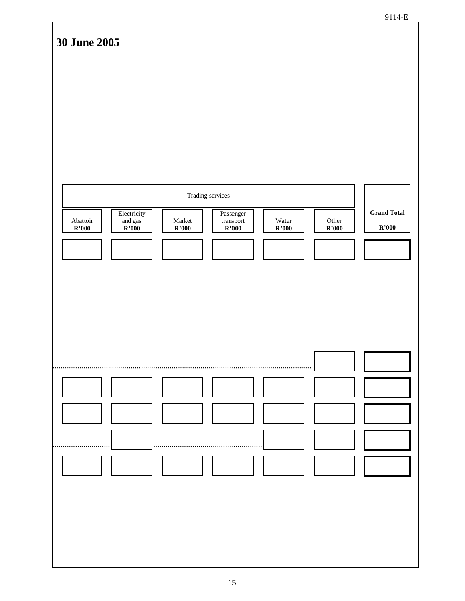| <b>30 June 2005</b>                                                                                            |                                                   |                                                                        |                                 |                |                             |
|----------------------------------------------------------------------------------------------------------------|---------------------------------------------------|------------------------------------------------------------------------|---------------------------------|----------------|-----------------------------|
|                                                                                                                |                                                   |                                                                        |                                 |                |                             |
|                                                                                                                |                                                   |                                                                        |                                 |                |                             |
|                                                                                                                |                                                   |                                                                        |                                 |                |                             |
|                                                                                                                |                                                   |                                                                        |                                 |                |                             |
|                                                                                                                | Trading services                                  |                                                                        |                                 |                |                             |
| Electricity<br>${\bf Ab}{{\small \bf{attoir}}}$<br>and gas $\overline{\text{R'}000}$<br>$\mathbf{R}^\star 000$ | $\operatorname{Market}$<br>$\mathbf{R}^\star 000$ | $\operatorname{Passenger}$<br>transport<br>$\overline{\mathbf{R'000}}$ | Water<br>$\mathbf{R}^\star 000$ | Other<br>R'000 | <b>Grand Total</b><br>R'000 |
|                                                                                                                |                                                   |                                                                        |                                 |                |                             |
|                                                                                                                |                                                   |                                                                        |                                 |                |                             |
|                                                                                                                |                                                   |                                                                        |                                 |                |                             |
|                                                                                                                |                                                   |                                                                        |                                 |                |                             |
|                                                                                                                |                                                   |                                                                        |                                 |                |                             |
|                                                                                                                |                                                   |                                                                        |                                 |                |                             |
|                                                                                                                |                                                   |                                                                        |                                 |                |                             |
|                                                                                                                |                                                   |                                                                        |                                 |                |                             |
|                                                                                                                |                                                   |                                                                        |                                 |                |                             |
|                                                                                                                |                                                   |                                                                        |                                 |                |                             |
|                                                                                                                |                                                   |                                                                        |                                 |                |                             |
|                                                                                                                |                                                   |                                                                        |                                 |                |                             |
|                                                                                                                |                                                   |                                                                        |                                 |                |                             |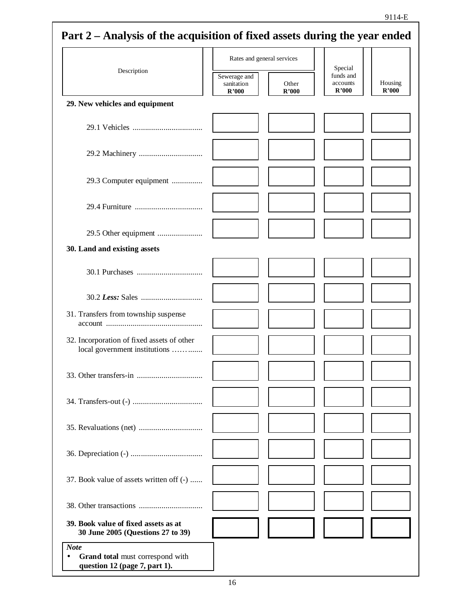|                                                                             | Rates and general services          |                |                                           |                  |
|-----------------------------------------------------------------------------|-------------------------------------|----------------|-------------------------------------------|------------------|
| Description                                                                 | Sewerage and<br>sanitation<br>R'000 | Other<br>R'000 | Special<br>funds and<br>accounts<br>R'000 | Housing<br>R'000 |
| 29. New vehicles and equipment                                              |                                     |                |                                           |                  |
|                                                                             |                                     |                |                                           |                  |
|                                                                             |                                     |                |                                           |                  |
| 29.3 Computer equipment                                                     |                                     |                |                                           |                  |
|                                                                             |                                     |                |                                           |                  |
|                                                                             |                                     |                |                                           |                  |
| 30. Land and existing assets                                                |                                     |                |                                           |                  |
|                                                                             |                                     |                |                                           |                  |
|                                                                             |                                     |                |                                           |                  |
| 31. Transfers from township suspense                                        |                                     |                |                                           |                  |
| 32. Incorporation of fixed assets of other<br>local government institutions |                                     |                |                                           |                  |
|                                                                             |                                     |                |                                           |                  |
|                                                                             |                                     |                |                                           |                  |
|                                                                             |                                     |                |                                           |                  |
|                                                                             |                                     |                |                                           |                  |
| 37. Book value of assets written off (-)                                    |                                     |                |                                           |                  |
|                                                                             |                                     |                |                                           |                  |
| 39. Book value of fixed assets as at<br>30 June 2005 (Questions 27 to 39)   |                                     |                |                                           |                  |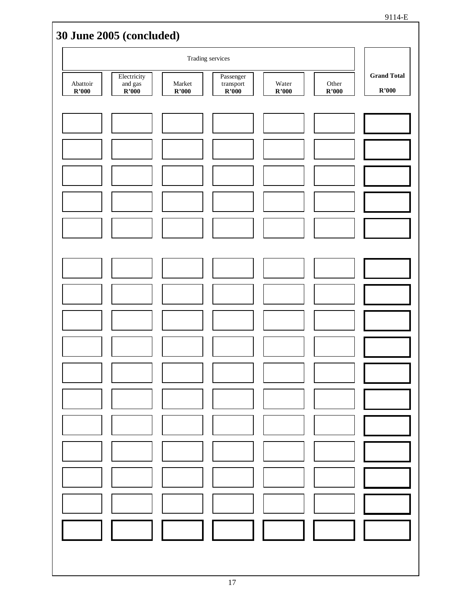|                   | 30 June 2005 (concluded)                    |                 |                                          |                |                |                             |
|-------------------|---------------------------------------------|-----------------|------------------------------------------|----------------|----------------|-----------------------------|
|                   |                                             |                 | Trading services                         |                |                |                             |
| Abattoir<br>R'000 | Electricity<br>and gas<br>$\mathbf{R}$ '000 | Market<br>R'000 | Passenger<br>$\mbox{transport}$<br>R'000 | Water<br>R'000 | Other<br>R'000 | <b>Grand Total</b><br>R'000 |
|                   |                                             |                 |                                          |                |                |                             |
|                   |                                             |                 |                                          |                |                |                             |
|                   |                                             |                 |                                          |                |                |                             |
|                   |                                             |                 |                                          |                |                |                             |
|                   |                                             |                 |                                          |                |                |                             |
|                   |                                             |                 |                                          |                |                |                             |
|                   |                                             |                 |                                          |                |                |                             |
|                   |                                             |                 |                                          |                |                |                             |
|                   |                                             |                 |                                          |                |                |                             |
|                   |                                             |                 |                                          |                |                |                             |
|                   |                                             |                 |                                          |                |                |                             |
|                   |                                             |                 |                                          |                |                |                             |
|                   |                                             |                 |                                          |                |                |                             |
|                   |                                             |                 |                                          |                |                |                             |
|                   |                                             |                 |                                          |                |                |                             |
|                   |                                             |                 |                                          |                |                |                             |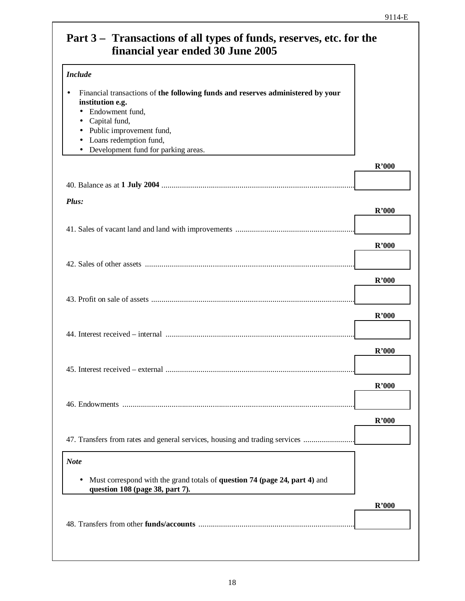## **Part 3 – Transactions of all types of funds, reserves, etc. for the financial year ended 30 June 2005**

| <b>Include</b>                                                                                                                                                                                                                                                              |       |
|-----------------------------------------------------------------------------------------------------------------------------------------------------------------------------------------------------------------------------------------------------------------------------|-------|
| Financial transactions of the following funds and reserves administered by your<br>institution e.g.<br>Endowment fund,<br>$\bullet$<br>Capital fund,<br>Public improvement fund,<br>$\bullet$<br>Loans redemption fund,<br>Development fund for parking areas.<br>$\bullet$ |       |
|                                                                                                                                                                                                                                                                             | R'000 |
|                                                                                                                                                                                                                                                                             |       |
| Plus:                                                                                                                                                                                                                                                                       | R'000 |
|                                                                                                                                                                                                                                                                             |       |
|                                                                                                                                                                                                                                                                             | R'000 |
|                                                                                                                                                                                                                                                                             |       |
|                                                                                                                                                                                                                                                                             | R'000 |
|                                                                                                                                                                                                                                                                             |       |
|                                                                                                                                                                                                                                                                             |       |
|                                                                                                                                                                                                                                                                             | R'000 |
|                                                                                                                                                                                                                                                                             |       |
|                                                                                                                                                                                                                                                                             | R'000 |
|                                                                                                                                                                                                                                                                             |       |
|                                                                                                                                                                                                                                                                             | R'000 |
|                                                                                                                                                                                                                                                                             |       |
|                                                                                                                                                                                                                                                                             | R'000 |
| 47. Transfers from rates and general services, housing and trading services                                                                                                                                                                                                 |       |
| <b>Note</b>                                                                                                                                                                                                                                                                 |       |
| Must correspond with the grand totals of <b>question 74 (page 24, part 4)</b> and<br>question 108 (page 38, part 7).                                                                                                                                                        |       |
|                                                                                                                                                                                                                                                                             | R'000 |
|                                                                                                                                                                                                                                                                             |       |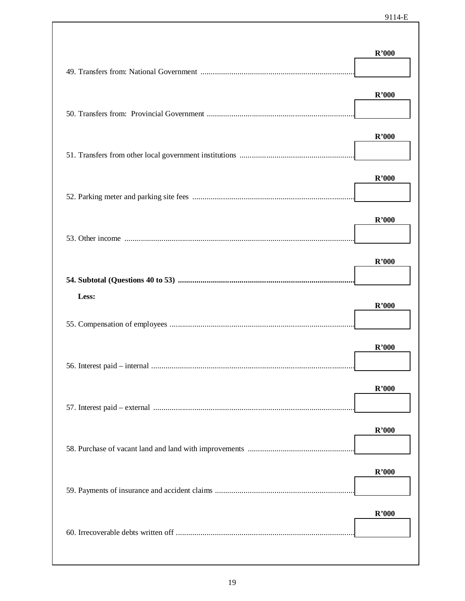| R'000<br>R'000<br>R'000<br>R'000<br>R'000<br>Less:<br>R'000<br>R'000<br>R'000<br>R'000<br>R'000<br>R'000 | R'000 |
|----------------------------------------------------------------------------------------------------------|-------|
|                                                                                                          |       |
|                                                                                                          |       |
|                                                                                                          |       |
|                                                                                                          |       |
|                                                                                                          |       |
|                                                                                                          |       |
|                                                                                                          |       |
|                                                                                                          |       |
|                                                                                                          |       |
|                                                                                                          |       |
|                                                                                                          |       |
|                                                                                                          |       |
|                                                                                                          |       |
|                                                                                                          |       |
|                                                                                                          |       |
|                                                                                                          |       |
|                                                                                                          |       |
|                                                                                                          |       |
|                                                                                                          |       |
|                                                                                                          |       |
|                                                                                                          |       |
|                                                                                                          |       |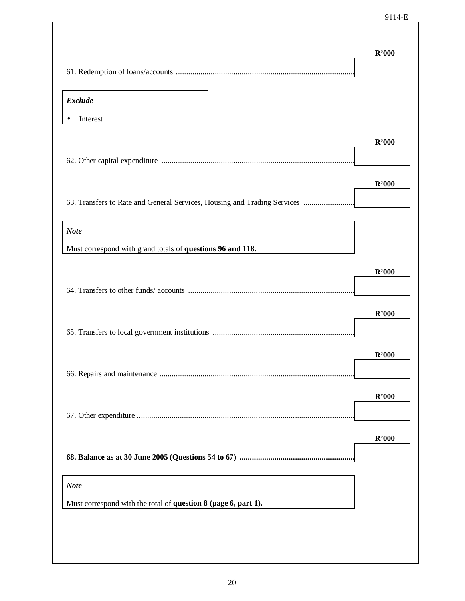|                                                                          | R'000 |
|--------------------------------------------------------------------------|-------|
|                                                                          |       |
| <b>Exclude</b>                                                           |       |
| Interest                                                                 |       |
|                                                                          | R'000 |
|                                                                          | R'000 |
| 63. Transfers to Rate and General Services, Housing and Trading Services |       |
|                                                                          |       |
| <b>Note</b>                                                              |       |
| Must correspond with grand totals of questions 96 and 118.               |       |
|                                                                          | R'000 |
|                                                                          |       |
|                                                                          | R'000 |
|                                                                          | R'000 |
|                                                                          |       |
|                                                                          | R'000 |
|                                                                          |       |
|                                                                          | R'000 |
|                                                                          |       |
| <b>Note</b>                                                              |       |
| Must correspond with the total of question 8 (page 6, part 1).           |       |
|                                                                          |       |
|                                                                          |       |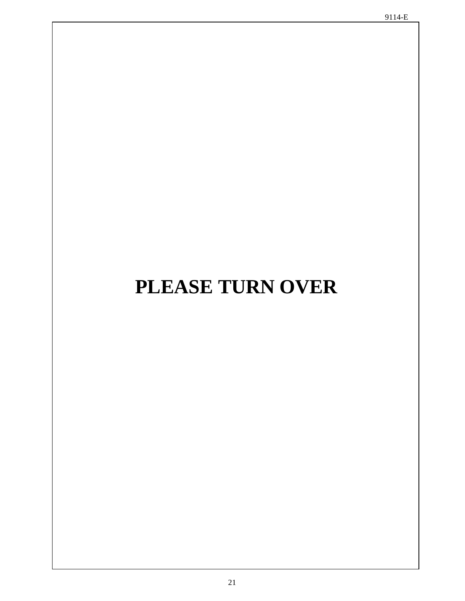# **PLEASE TURN OVER**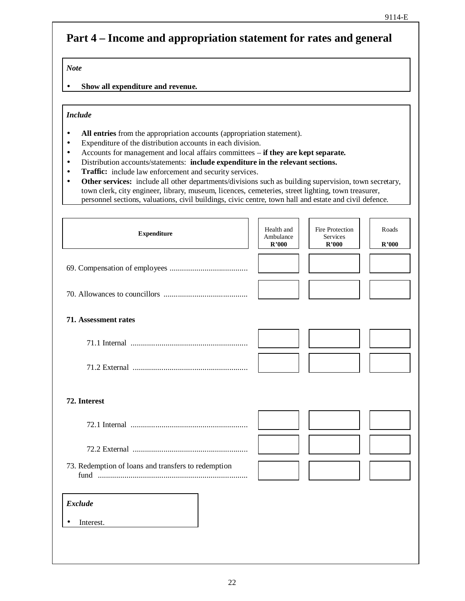## **Part 4 – Income and appropriation statement for rates and general**

*Note*

• **Show all expenditure and revenue.**

#### *Include*

- **All entries** from the appropriation accounts (appropriation statement).
- Expenditure of the distribution accounts in each division.
- Accounts for management and local affairs committees **if they are kept separate.**
- Distribution accounts/statements: **include expenditure in the relevant sections.**
- **Traffic:** include law enforcement and security services.
- **Other services:** include all other departments/divisions such as building supervision, town secretary, town clerk, city engineer, library, museum, licences, cemeteries, street lighting, town treasurer, personnel sections, valuations, civil buildings, civic centre, town hall and estate and civil defence.

|                                                     | R'000 | <b>Services</b><br>R'000 | R'000 |
|-----------------------------------------------------|-------|--------------------------|-------|
|                                                     |       |                          |       |
|                                                     |       |                          |       |
| 71. Assessment rates                                |       |                          |       |
|                                                     |       |                          |       |
|                                                     |       |                          |       |
| 72. Interest                                        |       |                          |       |
|                                                     |       |                          |       |
|                                                     |       |                          |       |
| 73. Redemption of loans and transfers to redemption |       |                          |       |
| <b>Exclude</b>                                      |       |                          |       |
| Interest.                                           |       |                          |       |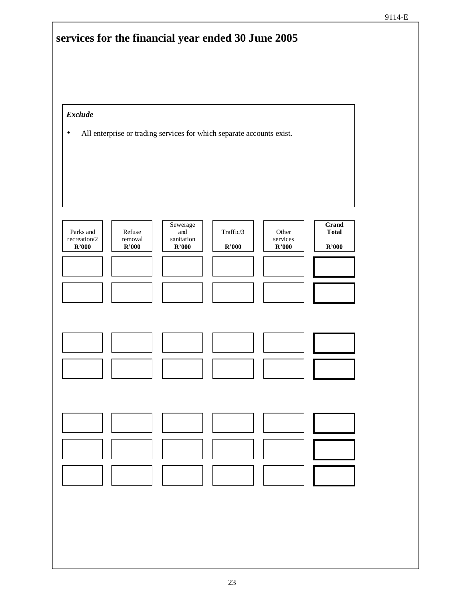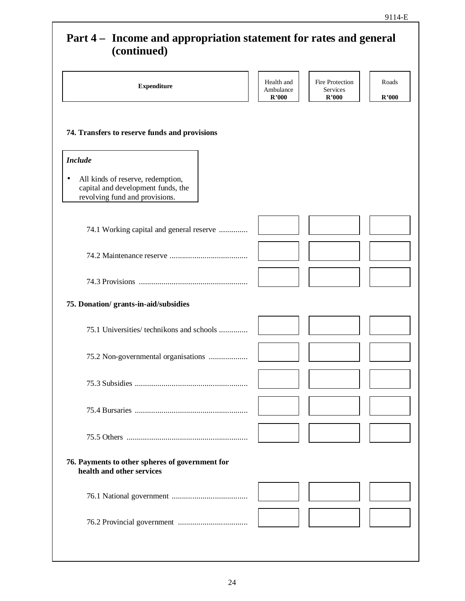### **Part 4 – Income and appropriation statement for rates and general (continued)**

| (continued)                                                                                                    |                                  |                                      |                |
|----------------------------------------------------------------------------------------------------------------|----------------------------------|--------------------------------------|----------------|
| <b>Expenditure</b>                                                                                             | Health and<br>Ambulance<br>R'000 | Fire Protection<br>Services<br>R'000 | Roads<br>R'000 |
| 74. Transfers to reserve funds and provisions                                                                  |                                  |                                      |                |
| <b>Include</b>                                                                                                 |                                  |                                      |                |
| All kinds of reserve, redemption,<br>٠<br>capital and development funds, the<br>revolving fund and provisions. |                                  |                                      |                |
| 74.1 Working capital and general reserve                                                                       |                                  |                                      |                |
|                                                                                                                |                                  |                                      |                |
|                                                                                                                |                                  |                                      |                |
| 75. Donation/ grants-in-aid/subsidies                                                                          |                                  |                                      |                |
| 75.1 Universities/ technikons and schools                                                                      |                                  |                                      |                |
| 75.2 Non-governmental organisations                                                                            |                                  |                                      |                |
|                                                                                                                |                                  |                                      |                |
|                                                                                                                |                                  |                                      |                |
|                                                                                                                |                                  |                                      |                |
| 76. Payments to other spheres of government for<br>health and other services                                   |                                  |                                      |                |
|                                                                                                                |                                  |                                      |                |
|                                                                                                                |                                  |                                      |                |
|                                                                                                                |                                  |                                      |                |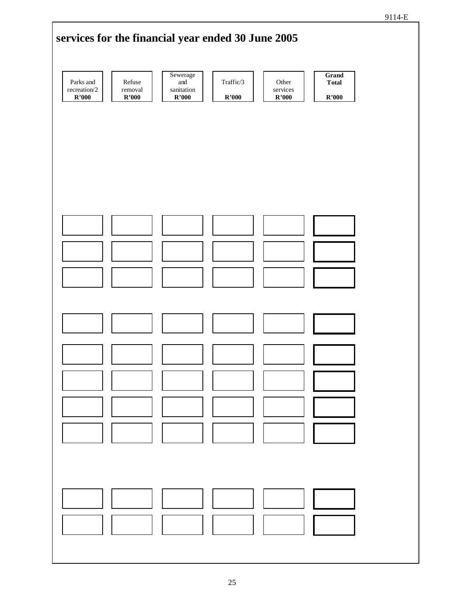

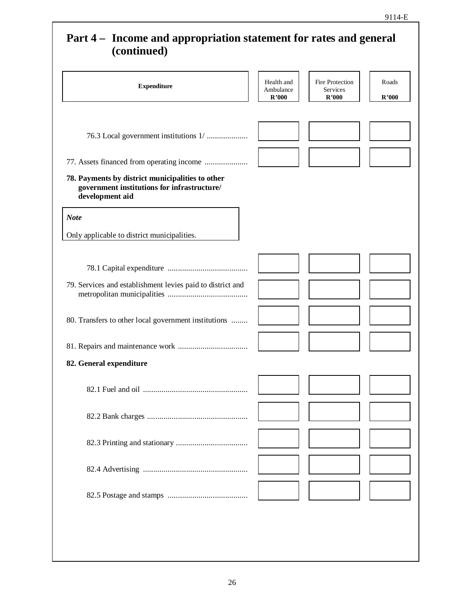## **Part 4 – Income and appropriation statement for rates and general (continued) Expenditure** Health and Ambulance Ambulance **R'000** Fire Protection Services **R'000** Roads **R'000** 76.3 Local government institutions 1/ ..................... 77. Assets financed from operating income ...................... **78. Payments by district municipalities to other government institutions for infrastructure/ development aid** *Note* Only applicable to district municipalities. 78.1 Capital expenditure ........................................ 79. Services and establishment levies paid to district and metropolitan municipalities ........................................ 80. Transfers to other local government institutions ......... 81. Repairs and maintenance work ................................... **82. General expenditure** 82.1 Fuel and oil .................................................... 82.2 Bank charges .................................................. 82.3 Printing and stationary .................................... 82.4 Advertising .................................................... 82.5 Postage and stamps ........................................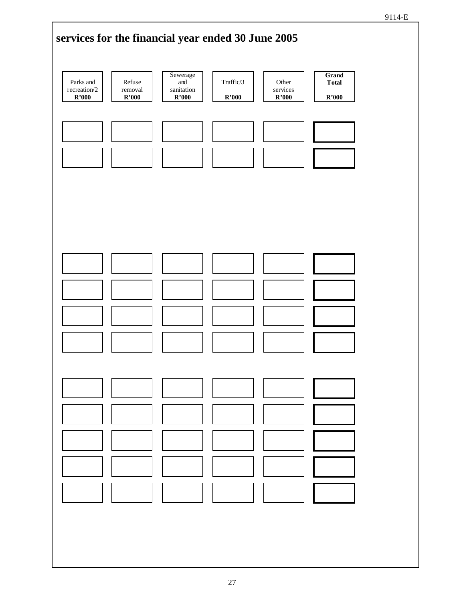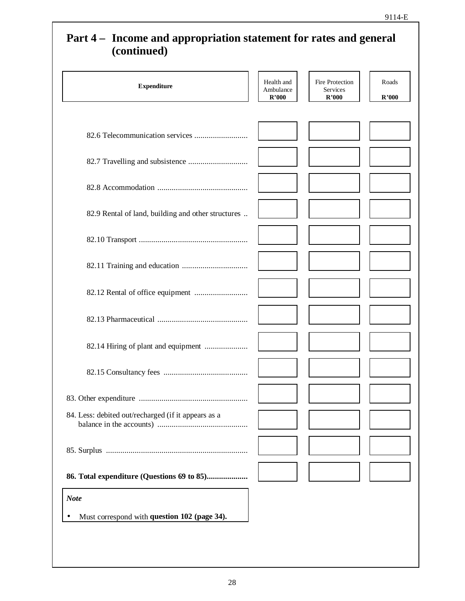## **Part 4 – Income and appropriation statement for rates and general (continued)**

| <b>Expenditure</b>                                  | Health and<br>Ambulance<br>R'000 | Fire Protection<br>Services<br>R'000 | Roads<br>R'000 |
|-----------------------------------------------------|----------------------------------|--------------------------------------|----------------|
|                                                     |                                  |                                      |                |
|                                                     |                                  |                                      |                |
|                                                     |                                  |                                      |                |
| 82.9 Rental of land, building and other structures  |                                  |                                      |                |
|                                                     |                                  |                                      |                |
|                                                     |                                  |                                      |                |
|                                                     |                                  |                                      |                |
|                                                     |                                  |                                      |                |
| 82.14 Hiring of plant and equipment                 |                                  |                                      |                |
|                                                     |                                  |                                      |                |
|                                                     |                                  |                                      |                |
| 84. Less: debited out/recharged (if it appears as a |                                  |                                      |                |
|                                                     |                                  |                                      |                |
|                                                     |                                  |                                      |                |
| <b>Note</b>                                         |                                  |                                      |                |
| Must correspond with question 102 (page 34).        |                                  |                                      |                |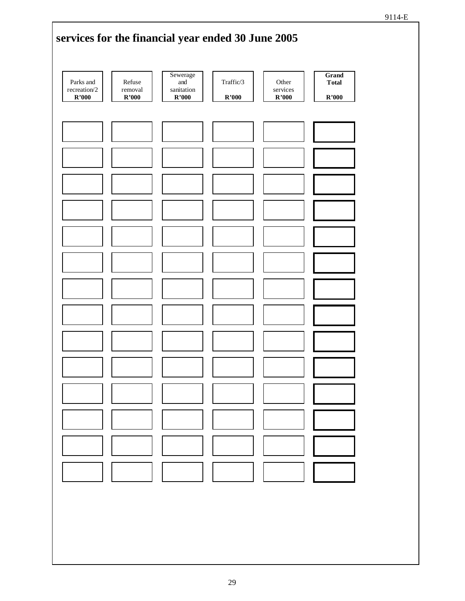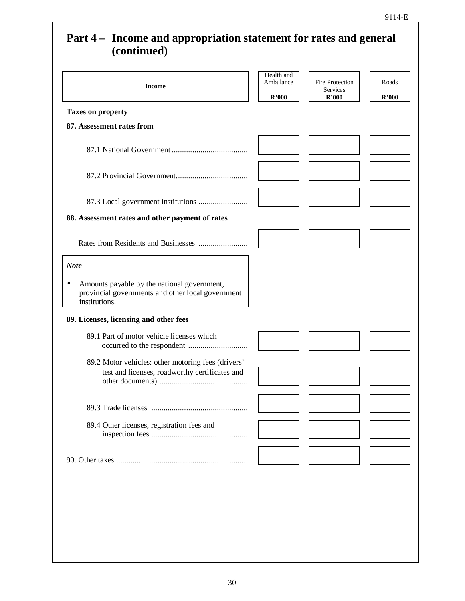## **Part 4 – Income and appropriation statement for rates and general (continued)**

| <b>Income</b>                                                                                                                  | Health and<br>Ambulance<br>R'000 | Fire Protection<br>Services<br>R'000 | Roads<br>R'000 |
|--------------------------------------------------------------------------------------------------------------------------------|----------------------------------|--------------------------------------|----------------|
| <b>Taxes on property</b>                                                                                                       |                                  |                                      |                |
| 87. Assessment rates from                                                                                                      |                                  |                                      |                |
|                                                                                                                                |                                  |                                      |                |
|                                                                                                                                |                                  |                                      |                |
|                                                                                                                                |                                  |                                      |                |
| 88. Assessment rates and other payment of rates                                                                                |                                  |                                      |                |
|                                                                                                                                |                                  |                                      |                |
| <b>Note</b>                                                                                                                    |                                  |                                      |                |
| Amounts payable by the national government,<br>$\bullet$<br>provincial governments and other local government<br>institutions. |                                  |                                      |                |
| 89. Licenses, licensing and other fees                                                                                         |                                  |                                      |                |
| 89.1 Part of motor vehicle licenses which                                                                                      |                                  |                                      |                |
| 89.2 Motor vehicles: other motoring fees (drivers'<br>test and licenses, roadworthy certificates and                           |                                  |                                      |                |
|                                                                                                                                |                                  |                                      |                |
| 89.4 Other licenses, registration fees and                                                                                     |                                  |                                      |                |
|                                                                                                                                |                                  |                                      |                |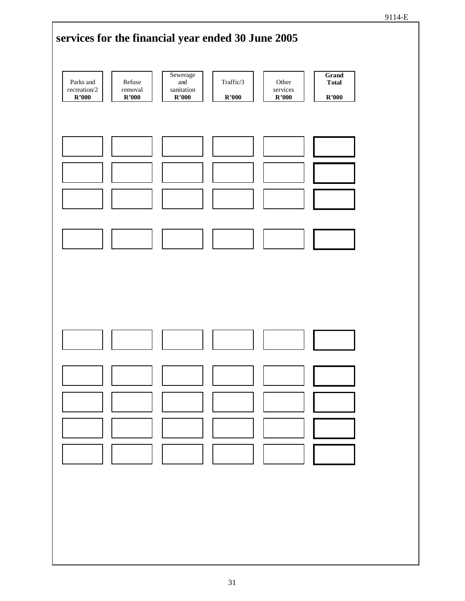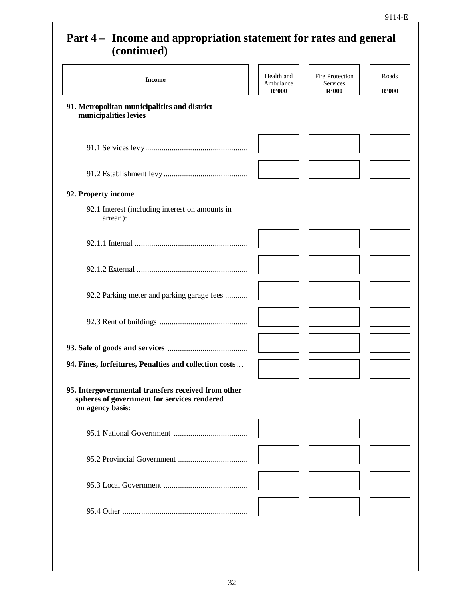### **Part 4 – Income and appropriation statement for rates and general (continued)**

| $(u$ ununu $(u)$                                                                                                       |                                  |                                      |                |
|------------------------------------------------------------------------------------------------------------------------|----------------------------------|--------------------------------------|----------------|
| <b>Income</b>                                                                                                          | Health and<br>Ambulance<br>R'000 | Fire Protection<br>Services<br>R'000 | Roads<br>R'000 |
| 91. Metropolitan municipalities and district<br>municipalities levies                                                  |                                  |                                      |                |
|                                                                                                                        |                                  |                                      |                |
|                                                                                                                        |                                  |                                      |                |
| 92. Property income                                                                                                    |                                  |                                      |                |
| 92.1 Interest (including interest on amounts in<br>arrear):                                                            |                                  |                                      |                |
|                                                                                                                        |                                  |                                      |                |
|                                                                                                                        |                                  |                                      |                |
| 92.2 Parking meter and parking garage fees                                                                             |                                  |                                      |                |
|                                                                                                                        |                                  |                                      |                |
|                                                                                                                        |                                  |                                      |                |
| 94. Fines, forfeitures, Penalties and collection costs                                                                 |                                  |                                      |                |
| 95. Intergovernmental transfers received from other<br>spheres of government for services rendered<br>on agency basis: |                                  |                                      |                |
|                                                                                                                        |                                  |                                      |                |
|                                                                                                                        |                                  |                                      |                |
|                                                                                                                        |                                  |                                      |                |
|                                                                                                                        |                                  |                                      |                |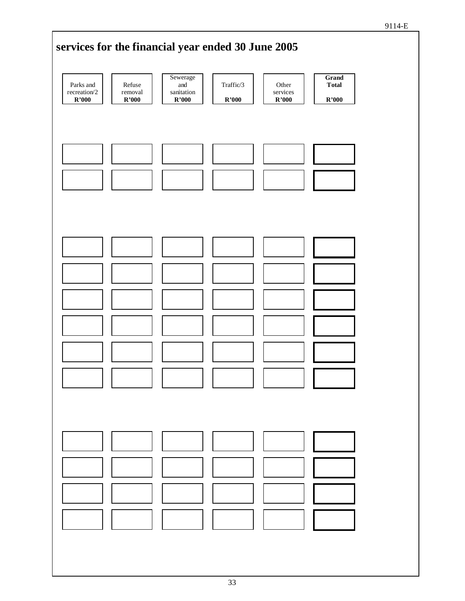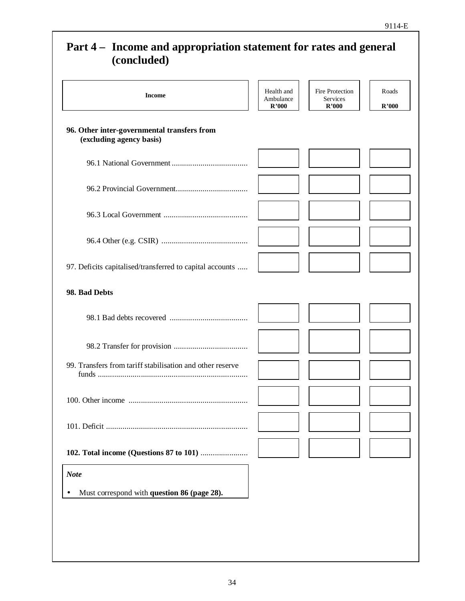## **Part 4 – Income and appropriation statement for rates and general (concluded) Income** Health and **Health** and **Health** and **Health** and **Health** and **Health** and **Ambulgage** Ambulance **R'000** Fire Protection **Services R'000** Roads **R'000 96. Other inter-governmental transfers from (excluding agency basis)** 96.1 National Government ...................................... 96.2 Provincial Government.................................... 96.3 Local Government .......................................... 96.4 Other (e.g. CSIR) ........................................... 97. Deficits capitalised/transferred to capital accounts ...... **98. Bad Debts** 98.1 Bad debts recovered ....................................... 98.2 Transfer for provision ..................................... 99. Transfers from tariff stabilisation and other reserve funds .......................................................................... 100. Other income ........................................................... 101. Deficit ...................................................................... **102. Total income (Questions 87 to 101)** ........................ *Note* • Must correspond with **question 86 (page 28).**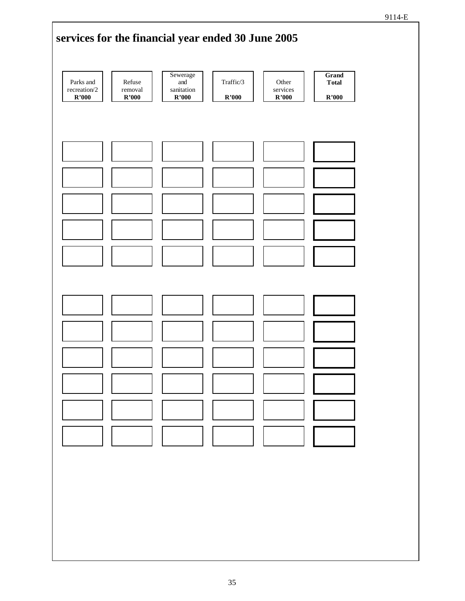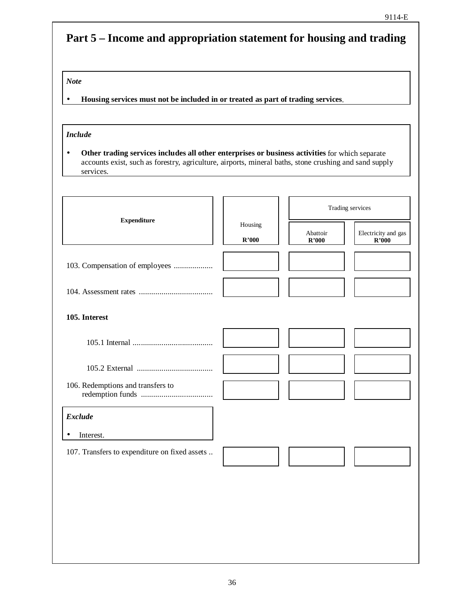## **Part 5 – Income and appropriation statement for housing and trading**

#### *Note*

• **Housing services must not be included in or treated as part of trading services**.

#### *Include*

• **Other trading services includes all other enterprises or business activities** for which separate accounts exist, such as forestry, agriculture, airports, mineral baths, stone crushing and sand supply services.

|                                               |                  | Trading services  |                              |  |
|-----------------------------------------------|------------------|-------------------|------------------------------|--|
| <b>Expenditure</b>                            | Housing<br>R'000 | Abattoir<br>R'000 | Electricity and gas<br>R'000 |  |
| 103. Compensation of employees                |                  |                   |                              |  |
|                                               |                  |                   |                              |  |
| 105. Interest                                 |                  |                   |                              |  |
|                                               |                  |                   |                              |  |
|                                               |                  |                   |                              |  |
| 106. Redemptions and transfers to             |                  |                   |                              |  |
| <b>Exclude</b>                                |                  |                   |                              |  |
| Interest.                                     |                  |                   |                              |  |
| 107. Transfers to expenditure on fixed assets |                  |                   |                              |  |
|                                               |                  |                   |                              |  |
|                                               |                  |                   |                              |  |
|                                               |                  |                   |                              |  |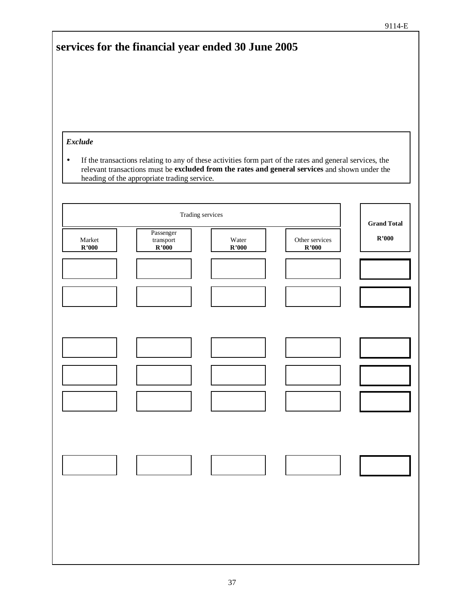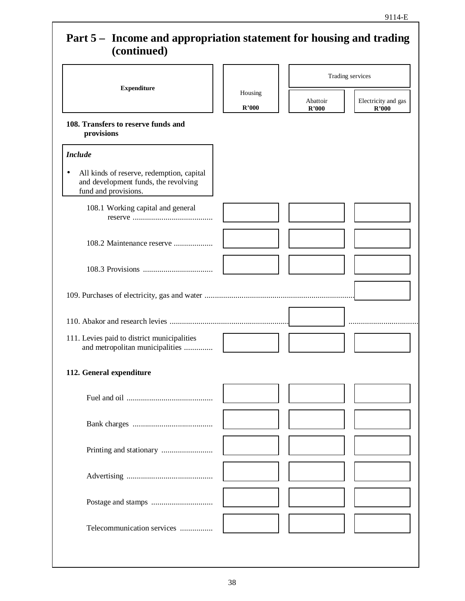## **Part 5 – Income and appropriation statement for housing and trading (continued)**

|                                                                                                                        |                  |                   | Trading services             |
|------------------------------------------------------------------------------------------------------------------------|------------------|-------------------|------------------------------|
| <b>Expenditure</b>                                                                                                     | Housing<br>R'000 | Abattoir<br>R'000 | Electricity and gas<br>R'000 |
| 108. Transfers to reserve funds and<br>provisions                                                                      |                  |                   |                              |
| <b>Include</b>                                                                                                         |                  |                   |                              |
| All kinds of reserve, redemption, capital<br>$\bullet$<br>and development funds, the revolving<br>fund and provisions. |                  |                   |                              |
| 108.1 Working capital and general                                                                                      |                  |                   |                              |
| 108.2 Maintenance reserve                                                                                              |                  |                   |                              |
|                                                                                                                        |                  |                   |                              |
|                                                                                                                        |                  |                   |                              |
|                                                                                                                        |                  |                   |                              |
| 111. Levies paid to district municipalities<br>and metropolitan municipalities                                         |                  |                   |                              |
| 112. General expenditure                                                                                               |                  |                   |                              |
|                                                                                                                        |                  |                   |                              |
|                                                                                                                        |                  |                   |                              |
|                                                                                                                        |                  |                   |                              |
|                                                                                                                        |                  |                   |                              |
|                                                                                                                        |                  |                   |                              |
|                                                                                                                        |                  |                   |                              |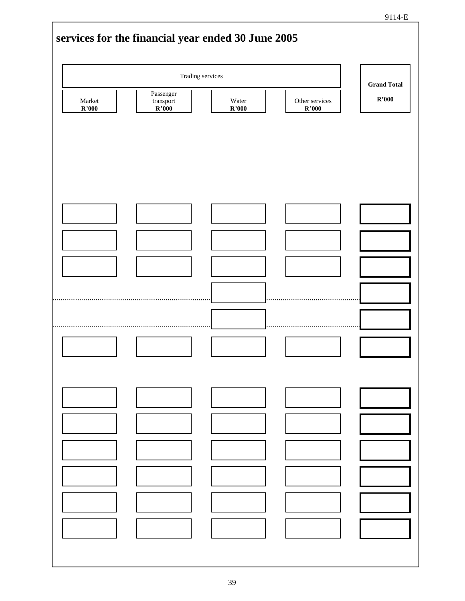

|                                  | Trading services                                      |                                 |                         | <b>Grand Total</b>     |  |
|----------------------------------|-------------------------------------------------------|---------------------------------|-------------------------|------------------------|--|
| Market<br>$\mathbf{R}^\star 000$ | Passenger<br>transport<br>$\overline{\mathbf{R'000}}$ | Water<br>$\mathbf{R}^{\ast}000$ | Other services<br>R'000 | $\mathbf{R}^{\ast}000$ |  |
|                                  |                                                       |                                 |                         |                        |  |
|                                  |                                                       |                                 |                         |                        |  |
|                                  |                                                       |                                 |                         |                        |  |
|                                  |                                                       |                                 |                         |                        |  |
|                                  |                                                       |                                 |                         |                        |  |
|                                  |                                                       |                                 |                         |                        |  |
|                                  |                                                       |                                 |                         |                        |  |
|                                  |                                                       |                                 |                         |                        |  |
|                                  |                                                       |                                 |                         |                        |  |
|                                  |                                                       |                                 |                         |                        |  |
|                                  |                                                       |                                 |                         |                        |  |
|                                  |                                                       |                                 |                         |                        |  |
|                                  |                                                       |                                 |                         |                        |  |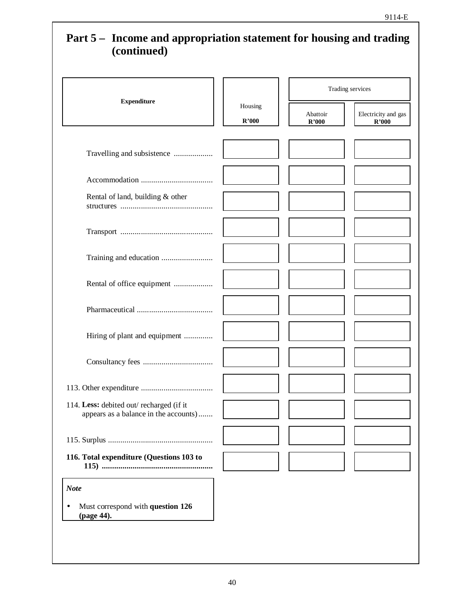## **(continued)** Trading services **Expenditure** Housing **R'000** Abattoir **R'000** Electricity and gas **R'000** Travelling and subsistence ...................... Accommodation ...................................... Rental of land, building & other structures ................................................ Transport ................................................ Training and education ............................ Rental of office equipment ...................... Pharmaceutical ........................................ Hiring of plant and equipment ................. Consultancy fees ..................................... 113. Other expenditure ...................................... 114. **Less:** debited out/ recharged (if it appears as a balance in the accounts).......... 115. Surplus ...................................................... **116. Total expenditure (Questions 103 to 115) .........................................................** *Note* • Must correspond with **question 126 (page 44).**

# **Part 5 – Income and appropriation statement for housing and trading**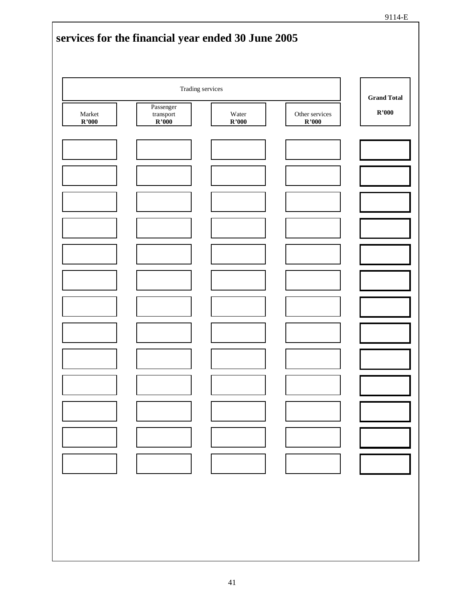|                                  | Trading services                         |                |                                          | <b>Grand Total</b>     |  |
|----------------------------------|------------------------------------------|----------------|------------------------------------------|------------------------|--|
| $\operatorname{Market}$<br>R'000 | Passenger<br>$\mbox{transport}$<br>R'000 | Water<br>R'000 | Other services<br>$\mathbf{R}^\star 000$ | $\mathbf{R}^{\ast}000$ |  |
|                                  |                                          |                |                                          |                        |  |
|                                  |                                          |                |                                          |                        |  |
|                                  |                                          |                |                                          |                        |  |
|                                  |                                          |                |                                          |                        |  |
|                                  |                                          |                |                                          |                        |  |
|                                  |                                          |                |                                          |                        |  |
|                                  |                                          |                |                                          |                        |  |
|                                  |                                          |                |                                          |                        |  |
|                                  |                                          |                |                                          |                        |  |
|                                  |                                          |                |                                          |                        |  |
|                                  |                                          |                |                                          |                        |  |
|                                  |                                          |                |                                          |                        |  |
|                                  |                                          |                |                                          |                        |  |
|                                  |                                          |                |                                          |                        |  |
|                                  |                                          |                |                                          |                        |  |
|                                  |                                          |                |                                          |                        |  |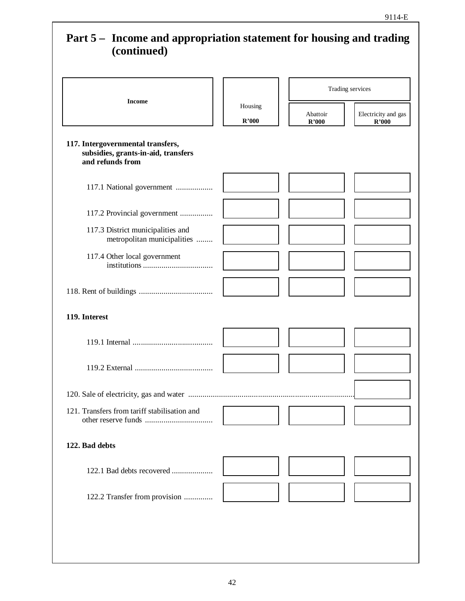## **Part 5 – Income and appropriation statement for housing and trading (continued)** Trading services **Income** Housing **R'000** Abattoir **R'000** Electricity and gas **R'000 117. Intergovernmental transfers, subsidies, grants-in-aid, transfers and refunds from** 117.1 National government ..................... 117.2 Provincial government ................... 117.3 District municipalities and metropolitan municipalities ........... 117.4 Other local government institutions ..................................... 118. Rent of buildings ....................................... **119. Interest** 119.1 Internal .......................................... 119.2 External ......................................... 120. Sale of electricity, gas and water ................................................................................. 121. Transfers from tariff stabilisation and other reserve funds .................................... **122. Bad debts** 122.1 Bad debts recovered ....................... 122.2 Transfer from provision .................

#### 42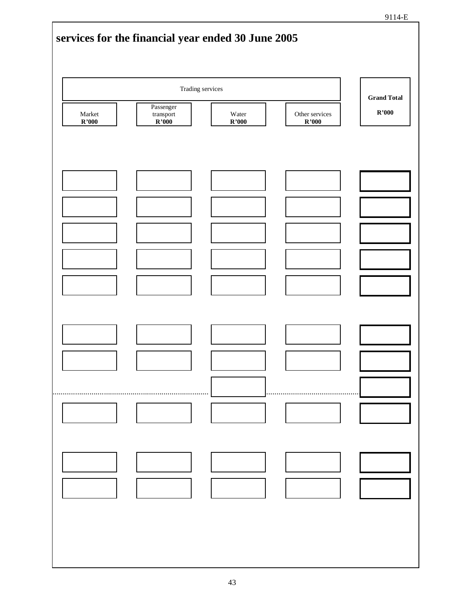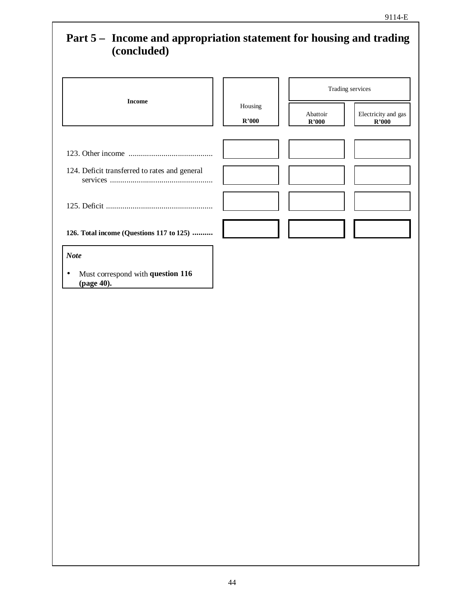## **Part 5 – Income and appropriation statement for housing and trading (concluded)**

|                                                                             |                                    |                                    | Trading services                               |
|-----------------------------------------------------------------------------|------------------------------------|------------------------------------|------------------------------------------------|
| <b>Income</b>                                                               | Housing<br>$\mathbf{R}^\prime 000$ | Abattoir<br>$\mathbf{R}^{\ast}000$ | Electricity and gas<br>$\mathbf{R}^\prime 000$ |
| 124. Deficit transferred to rates and general                               |                                    |                                    |                                                |
|                                                                             |                                    |                                    |                                                |
| 126. Total income (Questions 117 to 125)                                    |                                    |                                    |                                                |
| <b>Note</b><br>Must correspond with question 116<br>$\bullet$<br>(page 40). |                                    |                                    |                                                |
|                                                                             |                                    |                                    |                                                |
|                                                                             |                                    |                                    |                                                |
|                                                                             |                                    |                                    |                                                |
|                                                                             |                                    |                                    |                                                |
|                                                                             |                                    |                                    |                                                |
|                                                                             |                                    |                                    |                                                |
|                                                                             |                                    |                                    |                                                |
|                                                                             |                                    |                                    |                                                |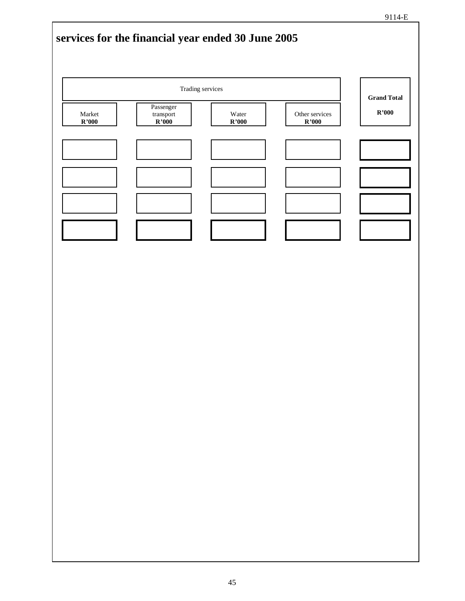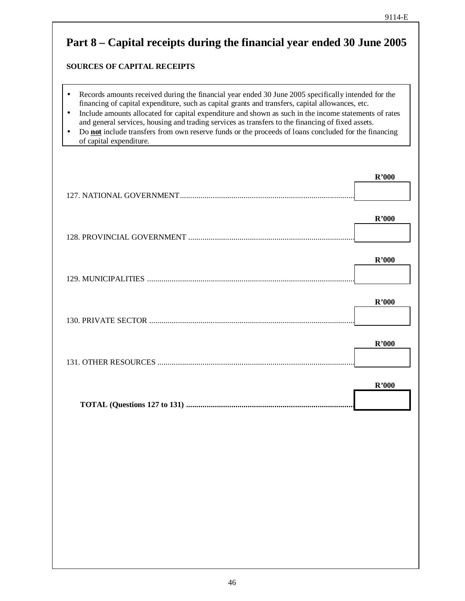# **Part 8 – Capital receipts during the financial year ended 30 June 2005 SOURCES OF CAPITAL RECEIPTS** • Records amounts received during the financial year ended 30 June 2005 specifically intended for the financing of capital expenditure, such as capital grants and transfers, capital allowances, etc. • Include amounts allocated for capital expenditure and shown as such in the income statements of rates and general services, housing and trading services as transfers to the financing of fixed assets. • Do **not** include transfers from own reserve funds or the proceeds of loans concluded for the financing of capital expenditure. **R'000** 127. NATIONAL GOVERNMENT..................................................................................... **R'000** 128. PROVINCIAL GOVERNMENT ................................................................................. **R'000** 129. MUNICIPALITIES ..................................................................................................... **R'000** 130. PRIVATE SECTOR .................................................................................................... **R'000** 131. OTHER RESOURCES ................................................................................................ **R'000 TOTAL (Questions 127 to 131) ..................................................................................**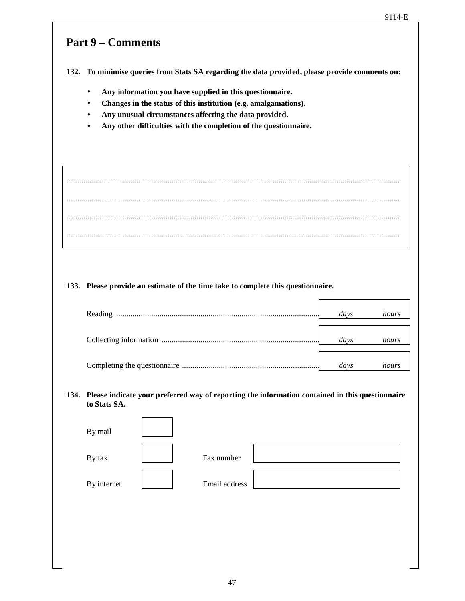## **Part 9 – Comments**

**132. To minimise queries from Stats SA regarding the data provided, please provide comments on:**

- **Any information you have supplied in this questionnaire.**
- **Changes in the status of this institution (e.g. amalgamations).**
- **Any unusual circumstances affecting the data provided.**
- **Any other difficulties with the completion of the questionnaire.**

| 133. Please provide an estimate of the time take to complete this questionnaire.                                     |      |       |
|----------------------------------------------------------------------------------------------------------------------|------|-------|
|                                                                                                                      | days | hours |
|                                                                                                                      | days | hours |
|                                                                                                                      | days | hours |
| 134. Please indicate your preferred way of reporting the information contained in this questionnaire<br>to Stats SA. |      |       |

| By mail     |               |  |
|-------------|---------------|--|
| By fax      | Fax number    |  |
| By internet | Email address |  |
|             |               |  |
|             |               |  |